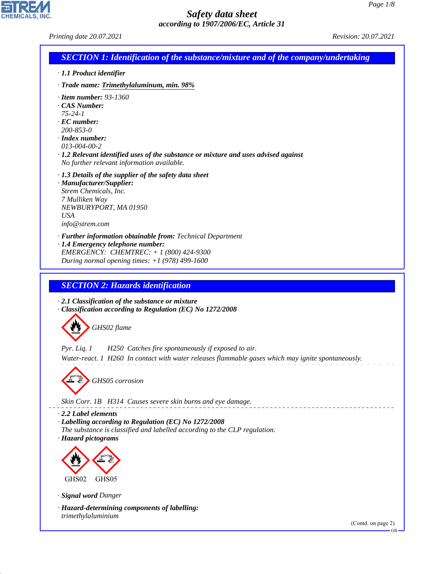*Printing date 20.07.2021 Revision: 20.07.2021*

CHEMICALS, INC.

44.1.1

| <b>SECTION 1: Identification of the substance/mixture and of the company/undertaking</b>        |                                                                                                                                         |
|-------------------------------------------------------------------------------------------------|-----------------------------------------------------------------------------------------------------------------------------------------|
| · 1.1 Product identifier                                                                        |                                                                                                                                         |
|                                                                                                 | · Trade name: Trimethylaluminum, min. 98%                                                                                               |
| $\cdot$ Item number: 93-1360<br>$\cdot$ CAS Number:                                             |                                                                                                                                         |
| $75 - 24 - 1$                                                                                   |                                                                                                                                         |
| $\cdot$ EC number:                                                                              |                                                                                                                                         |
| $200 - 853 - 0$<br>$\cdot$ Index number:                                                        |                                                                                                                                         |
| $013 - 004 - 00 - 2$                                                                            |                                                                                                                                         |
|                                                                                                 | $\cdot$ 1.2 Relevant identified uses of the substance or mixture and uses advised against<br>No further relevant information available. |
|                                                                                                 | $\cdot$ 1.3 Details of the supplier of the safety data sheet                                                                            |
| · Manufacturer/Supplier:<br>Strem Chemicals, Inc.                                               |                                                                                                                                         |
| 7 Mulliken Way                                                                                  |                                                                                                                                         |
| <b>USA</b>                                                                                      | NEWBURYPORT, MA 01950                                                                                                                   |
| info@strem.com                                                                                  |                                                                                                                                         |
|                                                                                                 | · Further information obtainable from: Technical Department                                                                             |
|                                                                                                 | · 1.4 Emergency telephone number:<br>EMERGENCY: CHEMTREC: + 1 (800) 424-9300                                                            |
|                                                                                                 | During normal opening times: $+1$ (978) 499-1600                                                                                        |
|                                                                                                 | <b>SECTION 2: Hazards identification</b><br>$\cdot$ 2.1 Classification of the substance or mixture                                      |
|                                                                                                 | · Classification according to Regulation (EC) No 1272/2008                                                                              |
|                                                                                                 | GHS02 flame                                                                                                                             |
|                                                                                                 |                                                                                                                                         |
|                                                                                                 | H250 Catches fire spontaneously if exposed to air.                                                                                      |
| $Pyr.$ Liq. 1                                                                                   | Water-react. 1 H260 In contact with water releases flammable gases which may ignite spontaneously.                                      |
|                                                                                                 |                                                                                                                                         |
|                                                                                                 | GHS05 corrosion                                                                                                                         |
|                                                                                                 |                                                                                                                                         |
|                                                                                                 | Skin Corr. 1B H314 Causes severe skin burns and eye damage.                                                                             |
|                                                                                                 | · Labelling according to Regulation (EC) No 1272/2008                                                                                   |
|                                                                                                 | The substance is classified and labelled according to the CLP regulation.                                                               |
|                                                                                                 |                                                                                                                                         |
|                                                                                                 |                                                                                                                                         |
|                                                                                                 |                                                                                                                                         |
| GHS02                                                                                           | GHS05                                                                                                                                   |
|                                                                                                 |                                                                                                                                         |
| $\cdot$ 2.2 Label elements<br>· Hazard pictograms<br>· Signal word Danger<br>trimethylaluminium | · Hazard-determining components of labelling:                                                                                           |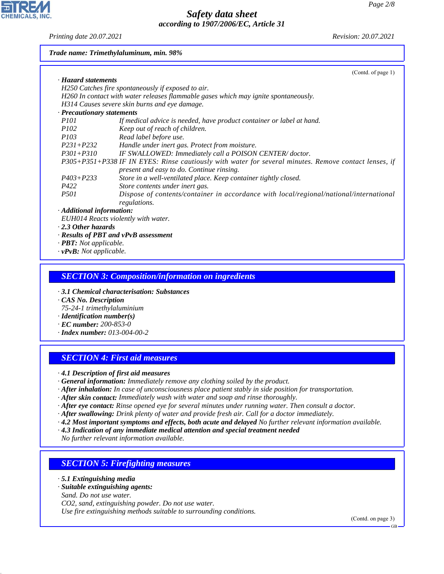**CHEMICALS, INC** 

*Printing date 20.07.2021 Revision: 20.07.2021*

#### *Trade name: Trimethylaluminum, min. 98%*

|                            | (Contd. of page 1)                                                                                                                                 |
|----------------------------|----------------------------------------------------------------------------------------------------------------------------------------------------|
| · Hazard statements        |                                                                                                                                                    |
|                            | H250 Catches fire spontaneously if exposed to air.                                                                                                 |
|                            | H260 In contact with water releases flammable gases which may ignite spontaneously.                                                                |
|                            | H314 Causes severe skin burns and eye damage.                                                                                                      |
| · Precautionary statements |                                                                                                                                                    |
| <i>P101</i>                | If medical advice is needed, have product container or label at hand.                                                                              |
| <i>P102</i>                | Keep out of reach of children.                                                                                                                     |
| <i>P103</i>                | Read label before use.                                                                                                                             |
| P231+P232                  | Handle under inert gas. Protect from moisture.                                                                                                     |
| $P301 + P310$              | IF SWALLOWED: Immediately call a POISON CENTER/doctor.                                                                                             |
|                            | P305+P351+P338 IF IN EYES: Rinse cautiously with water for several minutes. Remove contact lenses, if<br>present and easy to do. Continue rinsing. |
| $P403 + P233$              | Store in a well-ventilated place. Keep container tightly closed.                                                                                   |
| P422                       | Store contents under inert gas.                                                                                                                    |
| <i>P501</i>                | Dispose of contents/container in accordance with local/regional/national/international<br>regulations.                                             |
| · Additional information:  |                                                                                                                                                    |
|                            | EUH014 Reacts violently with water.                                                                                                                |
| $\cdot$ 2.3 Other hazards  |                                                                                                                                                    |
|                            | $\cdot$ Results of PBT and vPvB assessment                                                                                                         |

- *· PBT: Not applicable.*
- *· vPvB: Not applicable.*

### *SECTION 3: Composition/information on ingredients*

*· 3.1 Chemical characterisation: Substances*

*· CAS No. Description*

- *75-24-1 trimethylaluminium*
- *· Identification number(s)*
- *· EC number: 200-853-0*
- *· Index number: 013-004-00-2*

### *SECTION 4: First aid measures*

*· 4.1 Description of first aid measures*

- *· General information: Immediately remove any clothing soiled by the product.*
- *· After inhalation: In case of unconsciousness place patient stably in side position for transportation.*
- *· After skin contact: Immediately wash with water and soap and rinse thoroughly.*
- *· After eye contact: Rinse opened eye for several minutes under running water. Then consult a doctor.*
- *· After swallowing: Drink plenty of water and provide fresh air. Call for a doctor immediately.*
- *· 4.2 Most important symptoms and effects, both acute and delayed No further relevant information available.*
- *· 4.3 Indication of any immediate medical attention and special treatment needed*

*No further relevant information available.*

#### *SECTION 5: Firefighting measures*

*· 5.1 Extinguishing media*

44.1.1

#### *· Suitable extinguishing agents:*

*Sand. Do not use water. CO2, sand, extinguishing powder. Do not use water. Use fire extinguishing methods suitable to surrounding conditions.*

(Contd. on page 3)

GB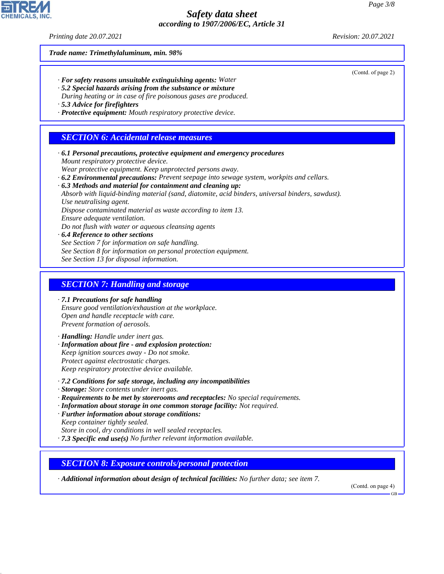*Printing date 20.07.2021 Revision: 20.07.2021*

*Trade name: Trimethylaluminum, min. 98%*

- *· For safety reasons unsuitable extinguishing agents: Water*
- *· 5.2 Special hazards arising from the substance or mixture*
- *During heating or in case of fire poisonous gases are produced.*
- *· 5.3 Advice for firefighters*
- *· Protective equipment: Mouth respiratory protective device.*

#### *SECTION 6: Accidental release measures*

- *· 6.1 Personal precautions, protective equipment and emergency procedures Mount respiratory protective device. Wear protective equipment. Keep unprotected persons away. · 6.2 Environmental precautions: Prevent seepage into sewage system, workpits and cellars. · 6.3 Methods and material for containment and cleaning up: Absorb with liquid-binding material (sand, diatomite, acid binders, universal binders, sawdust). Use neutralising agent. Dispose contaminated material as waste according to item 13. Ensure adequate ventilation. Do not flush with water or aqueous cleansing agents · 6.4 Reference to other sections See Section 7 for information on safe handling. See Section 8 for information on personal protection equipment. See Section 13 for disposal information. SECTION 7: Handling and storage · 7.1 Precautions for safe handling*
	- *Ensure good ventilation/exhaustion at the workplace. Open and handle receptacle with care. Prevent formation of aerosols.*
	- *· Handling: Handle under inert gas.*
	- *· Information about fire and explosion protection: Keep ignition sources away - Do not smoke. Protect against electrostatic charges. Keep respiratory protective device available.*
	- *· 7.2 Conditions for safe storage, including any incompatibilities*
	- *· Storage: Store contents under inert gas.*
	- *· Requirements to be met by storerooms and receptacles: No special requirements.*
	- *· Information about storage in one common storage facility: Not required.*
	- *· Further information about storage conditions:*
	- *Keep container tightly sealed.*

44.1.1

- *Store in cool, dry conditions in well sealed receptacles.*
- *· 7.3 Specific end use(s) No further relevant information available.*

#### *SECTION 8: Exposure controls/personal protection*

*· Additional information about design of technical facilities: No further data; see item 7.*

(Contd. on page 4)

GB



(Contd. of page 2)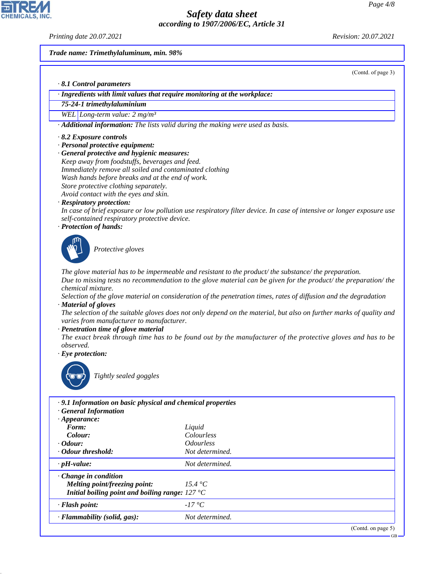*Printing date 20.07.2021 Revision: 20.07.2021*

(Contd. of page 3)

*Trade name: Trimethylaluminum, min. 98%*

*· 8.1 Control parameters*

*· Ingredients with limit values that require monitoring at the workplace:*

*75-24-1 trimethylaluminium*

*WEL Long-term value: 2 mg/m³*

*· Additional information: The lists valid during the making were used as basis.*

*· 8.2 Exposure controls*

- *· Personal protective equipment:*
- *· General protective and hygienic measures:*

*Keep away from foodstuffs, beverages and feed. Immediately remove all soiled and contaminated clothing Wash hands before breaks and at the end of work. Store protective clothing separately.*

*Avoid contact with the eyes and skin.*

#### *· Respiratory protection:*

*In case of brief exposure or low pollution use respiratory filter device. In case of intensive or longer exposure use self-contained respiratory protective device.*

*· Protection of hands:*



\_S*Protective gloves*

*The glove material has to be impermeable and resistant to the product/ the substance/ the preparation.*

*Due to missing tests no recommendation to the glove material can be given for the product/ the preparation/ the chemical mixture.*

*Selection of the glove material on consideration of the penetration times, rates of diffusion and the degradation · Material of gloves*

*The selection of the suitable gloves does not only depend on the material, but also on further marks of quality and varies from manufacturer to manufacturer.*

#### *· Penetration time of glove material*

*The exact break through time has to be found out by the manufacturer of the protective gloves and has to be observed.*

*· Eye protection:*



44.1.1

\_R*Tightly sealed goggles*

| .9.1 Information on basic physical and chemical properties |                                |                       |  |  |
|------------------------------------------------------------|--------------------------------|-----------------------|--|--|
| <b>General Information</b>                                 |                                |                       |  |  |
| $\cdot$ Appearance:                                        |                                |                       |  |  |
| Form:                                                      | Liquid                         |                       |  |  |
| Colour:                                                    | Colourless                     |                       |  |  |
| $\cdot$ Odour:                                             | <i><u><b>Odourless</b></u></i> |                       |  |  |
| Odour threshold:                                           | Not determined.                |                       |  |  |
| $\cdot$ pH-value:                                          | Not determined.                |                       |  |  |
| $\cdot$ Change in condition                                |                                |                       |  |  |
| Melting point/freezing point:                              | 15.4 $^{\circ}C$               |                       |  |  |
| Initial boiling point and boiling range: $127^{\circ}$ C   |                                |                       |  |  |
| · Flash point:                                             | $-17\degree C$                 |                       |  |  |
| · Flammability (solid, gas):                               | Not determined.                |                       |  |  |
|                                                            |                                | (Contd. on page $5$ ) |  |  |

GB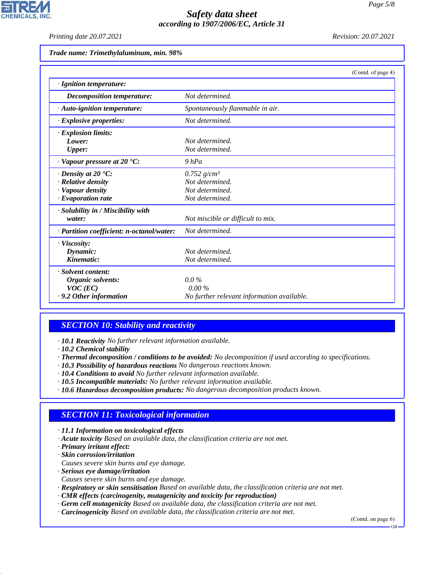*Printing date 20.07.2021 Revision: 20.07.2021*

**CHEMICALS** 

*Trade name: Trimethylaluminum, min. 98%*

|                                           | (Contd. of page 4)                         |
|-------------------------------------------|--------------------------------------------|
| · Ignition temperature:                   |                                            |
| Decomposition temperature:                | Not determined.                            |
| · Auto-ignition temperature:              | Spontaneously flammable in air.            |
| $\cdot$ Explosive properties:             | Not determined.                            |
| $\cdot$ Explosion limits:                 |                                            |
| Lower:                                    | Not determined.                            |
| <b>Upper:</b>                             | Not determined.                            |
| $\cdot$ Vapour pressure at 20 $\cdot$ C:  | $9$ hPa                                    |
| $\cdot$ Density at 20 $\cdot$ C:          | $0.752$ g/cm <sup>3</sup>                  |
| · Relative density                        | Not determined.                            |
| · Vapour density                          | Not determined.                            |
| $\cdot$ Evaporation rate                  | Not determined.                            |
| · Solubility in / Miscibility with        |                                            |
| water:                                    | Not miscible or difficult to mix.          |
| · Partition coefficient: n-octanol/water: | Not determined.                            |
| · Viscosity:                              |                                            |
| Dynamic:                                  | Not determined.                            |
| Kinematic:                                | Not determined.                            |
| · Solvent content:                        |                                            |
| Organic solvents:                         | $0.0\%$                                    |
| $VOC$ (EC)                                | $0.00\%$                                   |
| .9.2 Other information                    | No further relevant information available. |

# *SECTION 10: Stability and reactivity*

*· 10.1 Reactivity No further relevant information available.*

*· 10.2 Chemical stability*

- *· Thermal decomposition / conditions to be avoided: No decomposition if used according to specifications.*
- *· 10.3 Possibility of hazardous reactions No dangerous reactions known.*
- *· 10.4 Conditions to avoid No further relevant information available.*
- *· 10.5 Incompatible materials: No further relevant information available.*
- *· 10.6 Hazardous decomposition products: No dangerous decomposition products known.*

# *SECTION 11: Toxicological information*

#### *· 11.1 Information on toxicological effects*

- *· Acute toxicity Based on available data, the classification criteria are not met.*
- *· Primary irritant effect:*

44.1.1

- *· Skin corrosion/irritation*
- *Causes severe skin burns and eye damage.*
- *· Serious eye damage/irritation*
- *Causes severe skin burns and eye damage.*
- *· Respiratory or skin sensitisation Based on available data, the classification criteria are not met.*
- *· CMR effects (carcinogenity, mutagenicity and toxicity for reproduction)*
- *· Germ cell mutagenicity Based on available data, the classification criteria are not met.*
- *· Carcinogenicity Based on available data, the classification criteria are not met.*

(Contd. on page 6)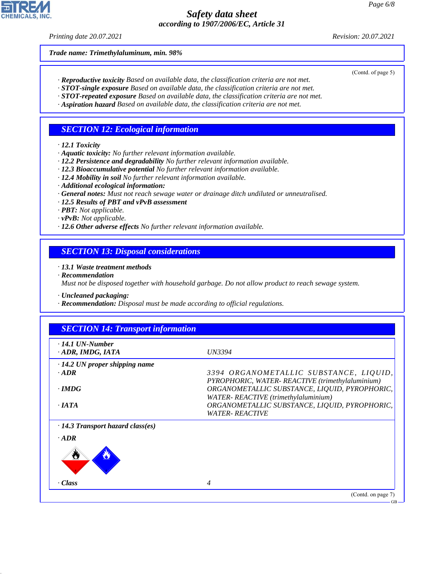*Printing date 20.07.2021 Revision: 20.07.2021*

*Trade name: Trimethylaluminum, min. 98%*

(Contd. of page 5)

- *· Reproductive toxicity Based on available data, the classification criteria are not met.*
- *· STOT-single exposure Based on available data, the classification criteria are not met.*
- *· STOT-repeated exposure Based on available data, the classification criteria are not met.*
- *· Aspiration hazard Based on available data, the classification criteria are not met.*

#### *SECTION 12: Ecological information*

- *· 12.1 Toxicity*
- *· Aquatic toxicity: No further relevant information available.*
- *· 12.2 Persistence and degradability No further relevant information available.*
- *· 12.3 Bioaccumulative potential No further relevant information available.*
- *· 12.4 Mobility in soil No further relevant information available.*
- *· Additional ecological information:*
- *· General notes: Must not reach sewage water or drainage ditch undiluted or unneutralised.*
- *· 12.5 Results of PBT and vPvB assessment*
- *· PBT: Not applicable.*
- *· vPvB: Not applicable.*
- *· 12.6 Other adverse effects No further relevant information available.*

#### *SECTION 13: Disposal considerations*

*· 13.1 Waste treatment methods*

*· Recommendation*

44.1.1

*Must not be disposed together with household garbage. Do not allow product to reach sewage system.*

*· Uncleaned packaging:*

*· Recommendation: Disposal must be made according to official regulations.*

| $\cdot$ 14.1 UN-Number<br>· ADR, IMDG, IATA | <i>UN3394</i>                                                                             |
|---------------------------------------------|-------------------------------------------------------------------------------------------|
| $\cdot$ 14.2 UN proper shipping name        |                                                                                           |
| $\cdot$ ADR                                 | 3394 ORGANOMETALLIC SUBSTANCE, LIQUID,<br>PYROPHORIC, WATER-REACTIVE (trimethylaluminium) |
| $\cdot$ IMDG                                | ORGANOMETALLIC SUBSTANCE, LIQUID, PYROPHORIC,<br>WATER-REACTIVE (trimethylaluminium)      |
| $\cdot$ IATA                                | ORGANOMETALLIC SUBSTANCE, LIQUID, PYROPHORIC,<br><b>WATER- REACTIVE</b>                   |
| $\cdot$ 14.3 Transport hazard class(es)     |                                                                                           |
| $\cdot$ ADR                                 |                                                                                           |
| U                                           |                                                                                           |
| · Class                                     | $\overline{4}$                                                                            |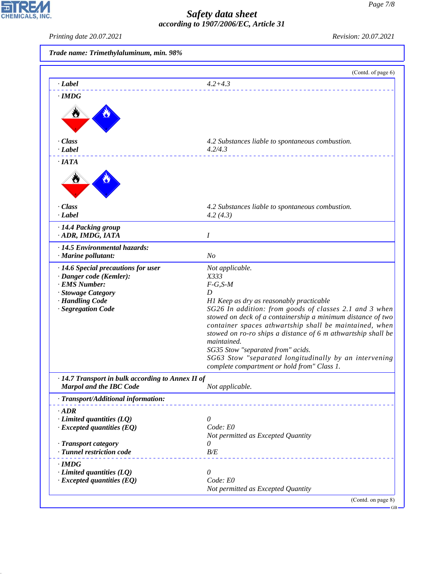# *Safety data sheet according to 1907/2006/EC, Article 31*

CHEMICALS, INC.

44.1.1

| Printing date 20.07.2021                                                                                                                       | Revision: 20.07.2021                                                                                                                                                                                                                                                                                                                                                                                                                                                                                  |  |  |
|------------------------------------------------------------------------------------------------------------------------------------------------|-------------------------------------------------------------------------------------------------------------------------------------------------------------------------------------------------------------------------------------------------------------------------------------------------------------------------------------------------------------------------------------------------------------------------------------------------------------------------------------------------------|--|--|
| Trade name: Trimethylaluminum, min. 98%                                                                                                        |                                                                                                                                                                                                                                                                                                                                                                                                                                                                                                       |  |  |
|                                                                                                                                                | (Contd. of page 6)                                                                                                                                                                                                                                                                                                                                                                                                                                                                                    |  |  |
| · Label                                                                                                                                        | $4.2 + 4.3$                                                                                                                                                                                                                                                                                                                                                                                                                                                                                           |  |  |
| $\cdot$ IMDG                                                                                                                                   |                                                                                                                                                                                                                                                                                                                                                                                                                                                                                                       |  |  |
| · Class                                                                                                                                        | 4.2 Substances liable to spontaneous combustion.                                                                                                                                                                                                                                                                                                                                                                                                                                                      |  |  |
| · Label                                                                                                                                        | 4.2/4.3                                                                                                                                                                                                                                                                                                                                                                                                                                                                                               |  |  |
| $\cdot$ IATA<br>Ò<br>· Class<br>· Label                                                                                                        | 4.2 Substances liable to spontaneous combustion.<br>4.2(4.3)                                                                                                                                                                                                                                                                                                                                                                                                                                          |  |  |
| · 14.4 Packing group                                                                                                                           |                                                                                                                                                                                                                                                                                                                                                                                                                                                                                                       |  |  |
| · ADR, IMDG, IATA                                                                                                                              | Ι                                                                                                                                                                                                                                                                                                                                                                                                                                                                                                     |  |  |
| · 14.5 Environmental hazards:<br>· Marine pollutant:                                                                                           | N <sub>o</sub>                                                                                                                                                                                                                                                                                                                                                                                                                                                                                        |  |  |
| · 14.6 Special precautions for user<br>· Danger code (Kemler):<br>· EMS Number:<br>· Stowage Category<br>· Handling Code<br>· Segregation Code | Not applicable.<br>X333<br>$F-G, S-M$<br>D<br>H1 Keep as dry as reasonably practicable<br>SG26 In addition: from goods of classes 2.1 and 3 when<br>stowed on deck of a containership a minimum distance of two<br>container spaces athwartship shall be maintained, when<br>stowed on ro-ro ships a distance of 6 m athwartship shall be<br>maintained.<br>SG35 Stow "separated from" acids.<br>SG63 Stow "separated longitudinally by an intervening<br>complete compartment or hold from" Class 1. |  |  |
| · 14.7 Transport in bulk according to Annex II of<br>Marpol and the IBC Code                                                                   | Not applicable.                                                                                                                                                                                                                                                                                                                                                                                                                                                                                       |  |  |
| · Transport/Additional information:                                                                                                            |                                                                                                                                                                                                                                                                                                                                                                                                                                                                                                       |  |  |
| $\cdot$ ADR<br>$\cdot$ Limited quantities (LQ)<br>$\cdot$ Excepted quantities (EQ)                                                             | 0<br>Code: E0<br>Not permitted as Excepted Quantity                                                                                                                                                                                                                                                                                                                                                                                                                                                   |  |  |
| · Transport category<br>· Tunnel restriction code                                                                                              | 0<br>B/E                                                                                                                                                                                                                                                                                                                                                                                                                                                                                              |  |  |
| $\cdot$ IMDG<br>$\cdot$ Limited quantities (LQ)<br>$\cdot$ Excepted quantities (EQ)                                                            | 0<br>Code: E0<br>Not permitted as Excepted Quantity                                                                                                                                                                                                                                                                                                                                                                                                                                                   |  |  |

<sup>(</sup>Contd. on page 8)

 $-GB$